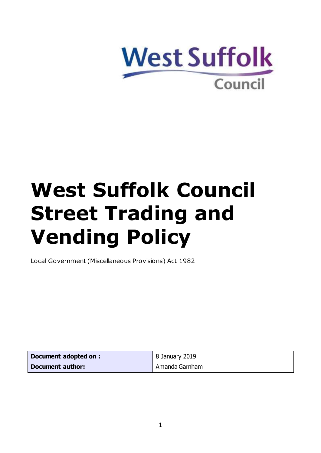

# **West Suffolk Council Street Trading and Vending Policy**

Local Government (Miscellaneous Provisions) Act 1982

| Document adopted on: | 8 January 2019 |
|----------------------|----------------|
| Document author:     | Amanda Garnham |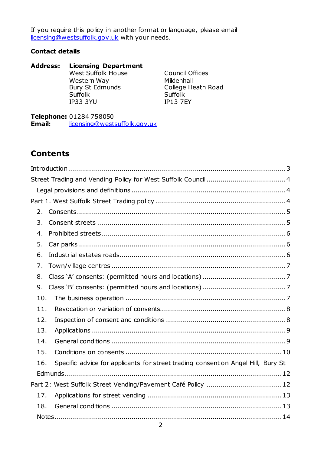If you require this policy in another format or language, please email [licensing@westsuffolk.gov.uk](mailto:licensing@westsuffolk.gov.uk) with your needs.

#### **Contact details**

**Address: Licensing Department** West Suffolk House Western Way Bury St Edmunds Suffolk IP33 3YU Council Offices Mildenhall College Heath Road Suffolk IP13 7EY

**Telephone:** 01284 758050<br>**Email:** licensing@wests **Email:** [licensing@westsuffolk.gov.uk](mailto:licensing@westsuffolk.gov.uk)

#### **Contents**

| 2.                                                                                      |  |
|-----------------------------------------------------------------------------------------|--|
| 3.                                                                                      |  |
| 4.                                                                                      |  |
| 5.                                                                                      |  |
| 6.                                                                                      |  |
| 7.                                                                                      |  |
| 8.                                                                                      |  |
| 9.                                                                                      |  |
| 10.                                                                                     |  |
| 11.                                                                                     |  |
| 12.                                                                                     |  |
| 13.                                                                                     |  |
| 14.                                                                                     |  |
| 15.                                                                                     |  |
| Specific advice for applicants for street trading consent on Angel Hill, Bury St<br>16. |  |
|                                                                                         |  |
|                                                                                         |  |
| 17.                                                                                     |  |
| 18.                                                                                     |  |
|                                                                                         |  |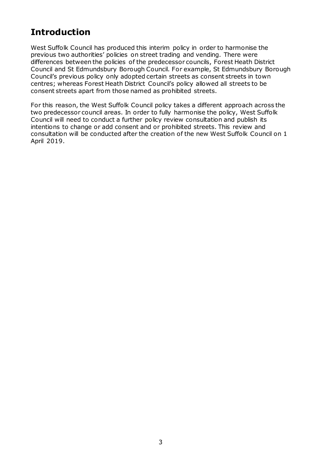# <span id="page-2-0"></span>**Introduction**

West Suffolk Council has produced this interim policy in order to harmonise the previous two authorities' policies on street trading and vending. There were differences between the policies of the predecessor councils, Forest Heath District Council and St Edmundsbury Borough Council. For example, St Edmundsbury Borough Council's previous policy only adopted certain streets as consent streets in town centres; whereas Forest Heath District Council's policy allowed all streets to be consent streets apart from those named as prohibited streets.

For this reason, the West Suffolk Council policy takes a different approach across the two predecessor council areas. In order to fully harmonise the policy, West Suffolk Council will need to conduct a further policy review consultation and publish its intentions to change or add consent and or prohibited streets. This review and consultation will be conducted after the creation of the new West Suffolk Council on 1 April 2019.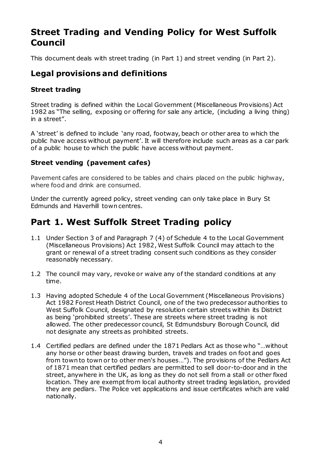# <span id="page-3-0"></span>**Street Trading and Vending Policy for West Suffolk Council**

This document deals with street trading (in Part 1) and street vending (in Part 2).

### <span id="page-3-1"></span>**Legal provisions and definitions**

#### **Street trading**

Street trading is defined within the Local Government (Miscellaneous Provisions) Act 1982 as "The selling, exposing or offering for sale any article, (including a living thing) in a street".

A 'street' is defined to include 'any road, footway, beach or other area to which the public have access without payment'. It will therefore include such areas as a car park of a public house to which the public have access without payment.

#### **Street vending (pavement cafes)**

Pavement cafes are considered to be tables and chairs placed on the public highway, where food and drink are consumed.

Under the currently agreed policy, street vending can only take place in Bury St Edmunds and Haverhill town centres.

# <span id="page-3-2"></span>**Part 1. West Suffolk Street Trading policy**

- 1.1 Under Section 3 of and Paragraph 7 (4) of Schedule 4 to the Local Government (Miscellaneous Provisions) Act 1982, West Suffolk Council may attach to the grant or renewal of a street trading consent such conditions as they consider reasonably necessary.
- 1.2 The council may vary, revoke or waive any of the standard conditions at any time.
- 1.3 Having adopted Schedule 4 of the Local Government (Miscellaneous Provisions) Act 1982 Forest Heath District Council, one of the two predecessor authorities to West Suffolk Council, designated by resolution certain streets within its District as being 'prohibited streets'. These are streets where street trading is not allowed. The other predecessor council, St Edmundsbury Borough Council, did not designate any streets as prohibited streets.
- 1.4 Certified pedlars are defined under the 1871 Pedlars Act as those who "…without any horse or other beast drawing burden, travels and trades on foot and goes from town to town or to other men's houses…"). The provisions of the Pedlars Act of 1871 mean that certified pedlars are permitted to sell door-to-door and in the street, anywhere in the UK, as long as they do not sell from a stall or other fixed location. They are exempt from local authority street trading legislation, provided they are pedlars. The Police vet applications and issue certificates which are valid nationally.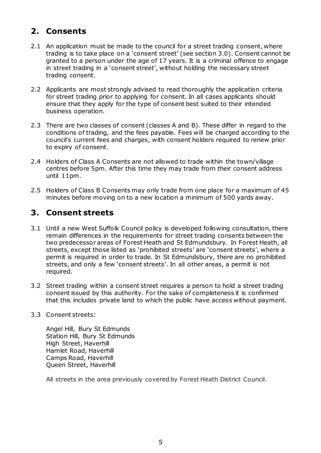# <span id="page-4-0"></span>**2. Consents**

- 2.1 An application must be made to the council for a street trading consent, where trading is to take place on a 'consent street' (see section 3.0). Consent cannot be granted to a person under the age of 17 years. It is a criminal offence to engage in street trading in a 'consent street', without holding the necessary street trading consent.
- 2.2 Applicants are most strongly advised to read thoroughly the application criteria for street trading prior to applying for consent. In all cases applicants should ensure that they apply for the type of consent best suited to their intended business operation.
- 2.3 There are two classes of consent (classes A and B). These differ in regard to the conditions of trading, and the fees payable. Fees will be charged according to the council's current fees and charges, with consent holders required to renew prior to expiry of consent.
- 2.4 Holders of Class A Consents are not allowed to trade within the town/village centres before 5pm. After this time they may trade from their consent address until 11pm.
- 2.5 Holders of Class B Consents may only trade from one place for a maximum of 45 minutes before moving on to a new location a minimum of 500 yards away.

## <span id="page-4-1"></span>**3. Consent streets**

- 3.1 Until a new West Suffolk Council policy is developed following consultation, there remain differences in the requirements for street trading consents between the two predecessor areas of Forest Heath and St Edmundsbury. In Forest Heath, all streets, except those listed as 'prohibited streets' are 'consent streets', where a permit is required in order to trade. In St Edmundsbury, there are no prohibited streets, and only a few 'consent streets'. In all other areas, a permit is not required.
- 3.2 Street trading within a consent street requires a person to hold a street trading consent issued by this authority. For the sake of completeness it is confirmed that this includes private land to which the public have access without payment.
- 3.3 Consent streets:

Angel Hill, Bury St Edmunds Station Hill, Bury St Edmunds High Street, Haverhill Hamlet Road, Haverhill Camps Road, Haverhill Queen Street, Haverhill

All streets in the area previously covered by Forest Heath District Council.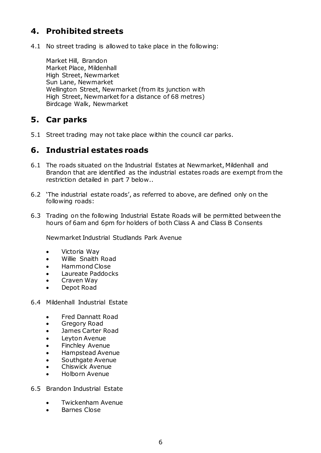# <span id="page-5-0"></span>**4. Prohibited streets**

4.1 No street trading is allowed to take place in the following:

Market Hill, Brandon Market Place, Mildenhall High Street, Newmarket Sun Lane, Newmarket Wellington Street, Newmarket (from its junction with High Street, Newmarket for a distance of 68 metres) Birdcage Walk, Newmarket

#### <span id="page-5-1"></span>**5. Car parks**

5.1 Street trading may not take place within the council car parks.

#### <span id="page-5-2"></span>**6. Industrial estates roads**

- 6.1 The roads situated on the Industrial Estates at Newmarket, Mildenhall and Brandon that are identified as the industrial estates roads are exempt from the restriction detailed in part 7 below..
- 6.2 'The industrial estate roads', as referred to above, are defined only on the following roads:
- 6.3 Trading on the following Industrial Estate Roads will be permitted between the hours of 6am and 6pm for holders of both Class A and Class B Consents

Newmarket Industrial Studlands Park Avenue

- Victoria Way
- Willie Snaith Road
- Hammond Close
- Laureate Paddocks
- Craven Way
- Depot Road
- 6.4 Mildenhall Industrial Estate
	- Fred Dannatt Road
	- Gregory Road
	- James Carter Road
	- Leyton Avenue
	- Finchley Avenue
	- Hampstead Avenue
	- Southgate Avenue
	- Chiswick Avenue
	- Holborn Avenue
- 6.5 Brandon Industrial Estate
	- Twickenham Avenue
	- Barnes Close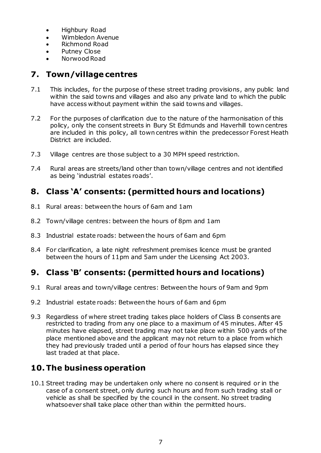- Highbury Road
- Wimbledon Avenue
- Richmond Road
- Putney Close
- Norwood Road

# <span id="page-6-0"></span>**7. Town/village centres**

- 7.1 This includes, for the purpose of these street trading provisions, any public land within the said towns and villages and also any private land to which the public have access without payment within the said towns and villages.
- 7.2 For the purposes of clarification due to the nature of the harmonisation of this policy, only the consent streets in Bury St Edmunds and Haverhill town centres are included in this policy, all town centres within the predecessor Forest Heath District are included.
- 7.3 Village centres are those subject to a 30 MPH speed restriction.
- 7.4 Rural areas are streets/land other than town/village centres and not identified as being 'industrial estates roads'.

# <span id="page-6-1"></span>**8. Class 'A' consents: (permitted hours and locations)**

- 8.1 Rural areas: between the hours of 6am and 1am
- 8.2 Town/village centres: between the hours of 8pm and 1am
- 8.3 Industrial estate roads: between the hours of 6am and 6pm
- 8.4 For clarification, a late night refreshment premises licence must be granted between the hours of 11pm and 5am under the Licensing Act 2003.

# <span id="page-6-2"></span>**9. Class 'B' consents: (permitted hours and locations)**

- 9.1 Rural areas and town/village centres: Between the hours of 9am and 9pm
- 9.2 Industrial estate roads: Between the hours of 6am and 6pm
- 9.3 Regardless of where street trading takes place holders of Class B consents are restricted to trading from any one place to a maximum of 45 minutes. After 45 minutes have elapsed, street trading may not take place within 500 yards of the place mentioned above and the applicant may not return to a place from which they had previously traded until a period of four hours has elapsed since they last traded at that place.

# <span id="page-6-3"></span>**10.The business operation**

10.1 Street trading may be undertaken only where no consent is required or in the case of a consent street, only during such hours and from such trading stall or vehicle as shall be specified by the council in the consent. No street trading whatsoever shall take place other than within the permitted hours.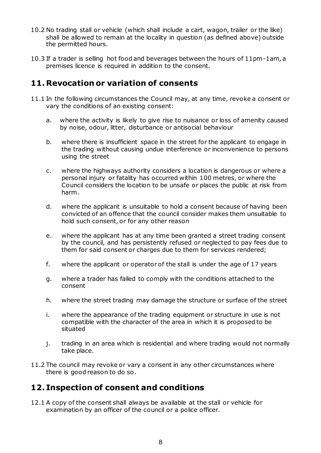- 10.2 No trading stall or vehicle (which shall include a cart, wagon, trailer or the like) shall be allowed to remain at the locality in question (as defined above) outside the permitted hours.
- 10.3 If a trader is selling hot food and beverages between the hours of 11pm-1am, a premises licence is required in addition to the consent.

## <span id="page-7-0"></span>**11. Revocation or variation of consents**

- 11.1 In the following circumstances the Council may, at any time, revoke a consent or vary the conditions of an existing consent:
	- a. where the activity is likely to give rise to nuisance or loss of amenity caused by noise, odour, litter, disturbance or antisocial behaviour
	- b. where there is insufficient space in the street for the applicant to engage in the trading without causing undue interference or inconvenience to persons using the street
	- c. where the highways authority considers a location is dangerous or where a personal injury or fatality has occurred within 100 metres, or where the Council considers the location to be unsafe or places the public at risk from harm.
	- d. where the applicant is unsuitable to hold a consent because of having been convicted of an offence that the council consider makes them unsuitable to hold such consent, or for any other reason
	- e. where the applicant has at any time been granted a street trading consent by the council, and has persistently refused or neglected to pay fees due to them for said consent or charges due to them for services rendered;
	- f. where the applicant or operator of the stall is under the age of 17 years
	- g. where a trader has failed to comply with the conditions attached to the consent
	- h. where the street trading may damage the structure or surface of the street
	- i. where the appearance of the trading equipment or structure in use is not compatible with the character of the area in which it is proposed to be situated
	- j. trading in an area which is residential and where trading would not normally take place.
- 11.2 The council may revoke or vary a consent in any other circumstances where there is good reason to do so.

#### <span id="page-7-1"></span>**12. Inspection of consent and conditions**

12.1 A copy of the consent shall always be available at the stall or vehicle for examination by an officer of the council or a police officer.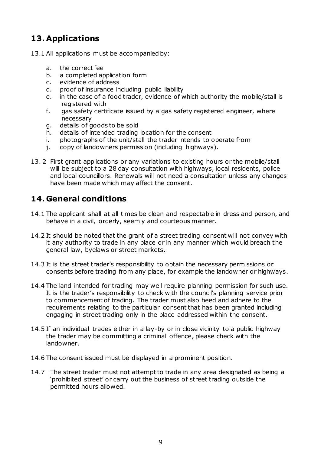# <span id="page-8-0"></span>**13. Applications**

- 13.1 All applications must be accompanied by:
	- a. the correct fee
	- b. a completed application form
	- c. evidence of address
	- d. proof of insurance including public liability
	- e. in the case of a food trader, evidence of which authority the mobile/stall is registered with
	- f. gas safety certificate issued by a gas safety registered engineer, where necessary
	- g. details of goods to be sold
	- h. details of intended trading location for the consent
	- i. photographs of the unit/stall the trader intends to operate from
	- j. copy of landowners permission (including highways).
- 13. 2 First grant applications or any variations to existing hours or the mobile/stall will be subject to a 28 day consultation with highways, local residents, police and local councillors. Renewals will not need a consultation unless any changes have been made which may affect the consent.

## <span id="page-8-1"></span>**14. General conditions**

- 14.1 The applicant shall at all times be clean and respectable in dress and person, and behave in a civil, orderly, seemly and courteous manner.
- 14.2 It should be noted that the grant of a street trading consent will not convey with it any authority to trade in any place or in any manner which would breach the general law, byelaws or street markets.
- 14.3 It is the street trader's responsibility to obtain the necessary permissions or consents before trading from any place, for example the landowner or highways.
- 14.4 The land intended for trading may well require planning permission for such use. It is the trader's responsibility to check with the council's planning service prior to commencement of trading. The trader must also heed and adhere to the requirements relating to the particular consent that has been granted including engaging in street trading only in the place addressed within the consent.
- 14.5 If an individual trades either in a lay-by or in close vicinity to a public highway the trader may be committing a criminal offence, please check with the landowner.
- 14.6 The consent issued must be displayed in a prominent position.
- 14.7 The street trader must not attempt to trade in any area designated as being a 'prohibited street' or carry out the business of street trading outside the permitted hours allowed.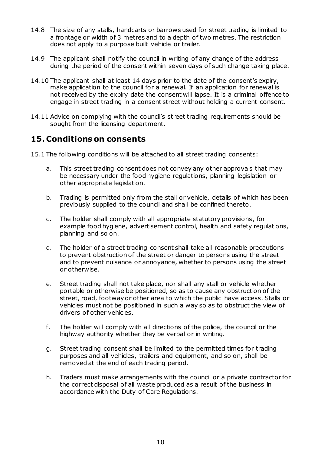- 14.8 The size of any stalls, handcarts or barrows used for street trading is limited to a frontage or width of 3 metres and to a depth of two metres. The restriction does not apply to a purpose built vehicle or trailer.
- 14.9 The applicant shall notify the council in writing of any change of the address during the period of the consent within seven days of such change taking place.
- 14.10 The applicant shall at least 14 days prior to the date of the consent's expiry, make application to the council for a renewal. If an application for renewal is not received by the expiry date the consent will lapse. It is a criminal offence to engage in street trading in a consent street without holding a current consent.
- 14.11 Advice on complying with the council's street trading requirements should be sought from the licensing department.

#### <span id="page-9-0"></span>**15. Conditions on consents**

- 15.1 The following conditions will be attached to all street trading consents:
	- a. This street trading consent does not convey any other approvals that may be necessary under the food hygiene regulations, planning legislation or other appropriate legislation.
	- b. Trading is permitted only from the stall or vehicle, details of which has been previously supplied to the council and shall be confined thereto.
	- c. The holder shall comply with all appropriate statutory provisions, for example food hygiene, advertisement control, health and safety regulations, planning and so on.
	- d. The holder of a street trading consent shall take all reasonable precautions to prevent obstruction of the street or danger to persons using the street and to prevent nuisance or annoyance, whether to persons using the street or otherwise.
	- e. Street trading shall not take place, nor shall any stall or vehicle whether portable or otherwise be positioned, so as to cause any obstruction of the street, road, footway or other area to which the public have access. Stalls or vehicles must not be positioned in such a way so as to obstruct the view of drivers of other vehicles.
	- f. The holder will comply with all directions of the police, the council or the highway authority whether they be verbal or in writing.
	- g. Street trading consent shall be limited to the permitted times for trading purposes and all vehicles, trailers and equipment, and so on, shall be removed at the end of each trading period.
	- h. Traders must make arrangements with the council or a private contractor for the correct disposal of all waste produced as a result of the business in accordance with the Duty of Care Regulations.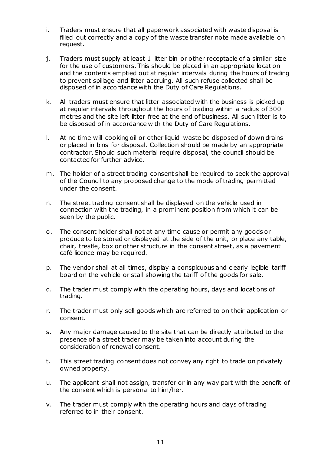- i. Traders must ensure that all paperwork associated with waste disposal is filled out correctly and a copy of the waste transfer note made available on request.
- j. Traders must supply at least 1 litter bin or other receptacle of a similar size for the use of customers. This should be placed in an appropriate location and the contents emptied out at regular intervals during the hours of trading to prevent spillage and litter accruing. All such refuse collected shall be disposed of in accordance with the Duty of Care Regulations.
- k. All traders must ensure that litter associated with the business is picked up at regular intervals throughout the hours of trading within a radius of 300 metres and the site left litter free at the end of business. All such litter is to be disposed of in accordance with the Duty of Care Regulations.
- l. At no time will cooking oil or other liquid waste be disposed of down drains or placed in bins for disposal. Collection should be made by an appropriate contractor. Should such material require disposal, the council should be contacted for further advice.
- m. The holder of a street trading consent shall be required to seek the approval of the Council to any proposed change to the mode of trading permitted under the consent.
- n. The street trading consent shall be displayed on the vehicle used in connection with the trading, in a prominent position from which it can be seen by the public.
- o. The consent holder shall not at any time cause or permit any goods or produce to be stored or displayed at the side of the unit, or place any table, chair, trestle, box or other structure in the consent street, as a pavement café licence may be required.
- p. The vendor shall at all times, display a conspicuous and clearly legible tariff board on the vehicle or stall showing the tariff of the goods for sale.
- q. The trader must comply with the operating hours, days and locations of trading.
- r. The trader must only sell goods which are referred to on their application or consent.
- s. Any major damage caused to the site that can be directly attributed to the presence of a street trader may be taken into account during the consideration of renewal consent.
- t. This street trading consent does not convey any right to trade on privately owned property.
- u. The applicant shall not assign, transfer or in any way part with the benefit of the consent which is personal to him/her.
- v. The trader must comply with the operating hours and days of trading referred to in their consent.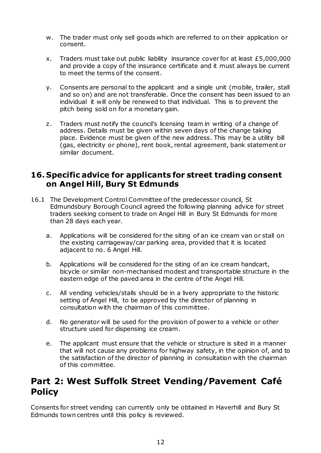- w. The trader must only sell goods which are referred to on their application or consent.
- x. Traders must take out public liability insurance cover for at least  $£5,000,000$ and provide a copy of the insurance certificate and it must always be current to meet the terms of the consent.
- y. Consents are personal to the applicant and a single unit (mobile, trailer, stall and so on) and are not transferable. Once the consent has been issued to an individual it will only be renewed to that individual. This is to prevent the pitch being sold on for a monetary gain.
- z. Traders must notify the council's licensing team in writing of a change of address. Details must be given within seven days of the change taking place. Evidence must be given of the new address. This may be a utility bill (gas, electricity or phone), rent book, rental agreement, bank statement or similar document.

#### <span id="page-11-0"></span>**16. Specific advice for applicants for street trading consent on Angel Hill, Bury St Edmunds**

- 16.1 The Development Control Committee of the predecessor council, St Edmundsbury Borough Council agreed the following planning advice for street traders seeking consent to trade on Angel Hill in Bury St Edmunds for more than 28 days each year.
	- a. Applications will be considered for the siting of an ice cream van or stall on the existing carriageway/car parking area, provided that it is located adjacent to no. 6 Angel Hill.
	- b. Applications will be considered for the siting of an ice cream handcart, bicycle or similar non-mechanised modest and transportable structure in the eastern edge of the paved area in the centre of the Angel Hill.
	- c. All vending vehicles/stalls should be in a livery appropriate to the historic setting of Angel Hill, to be approved by the director of planning in consultation with the chairman of this committee.
	- d. No generator will be used for the provision of power to a vehicle or other structure used for dispensing ice cream.
	- e. The applicant must ensure that the vehicle or structure is sited in a manner that will not cause any problems for highway safety, in the opinion of, and to the satisfaction of the director of planning in consultation with the chairman of this committee.

# <span id="page-11-1"></span>**Part 2: West Suffolk Street Vending/Pavement Café Policy**

Consents for street vending can currently only be obtained in Haverhill and Bury St Edmunds town centres until this policy is reviewed.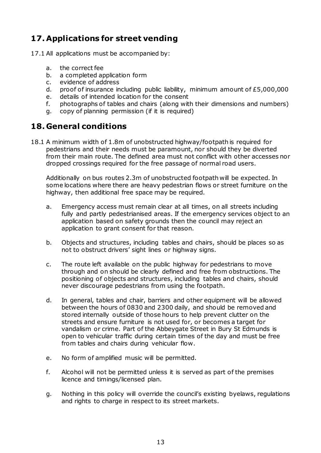# <span id="page-12-0"></span>**17. Applications for street vending**

- 17.1 All applications must be accompanied by:
	- a. the correct fee
	- b. a completed application form
	- c. evidence of address
	- d. proof of insurance including public liability, minimum amount of £5,000,000
	- e. details of intended location for the consent
	- f. photographs of tables and chairs (along with their dimensions and numbers)
	- g. copy of planning permission (if it is required)

#### <span id="page-12-1"></span>**18. General conditions**

18.1 A minimum width of 1.8m of unobstructed highway/footpath is required for pedestrians and their needs must be paramount, nor should they be diverted from their main route. The defined area must not conflict with other accesses nor dropped crossings required for the free passage of normal road users.

Additionally on bus routes 2.3m of unobstructed footpath will be expected. In some locations where there are heavy pedestrian flows or street furniture on the highway, then additional free space may be required.

- a. Emergency access must remain clear at all times, on all streets including fully and partly pedestrianised areas. If the emergency services object to an application based on safety grounds then the council may reject an application to grant consent for that reason.
- b. Objects and structures, including tables and chairs, should be places so as not to obstruct drivers' sight lines or highway signs.
- c. The route left available on the public highway for pedestrians to move through and on should be clearly defined and free from obstructions. The positioning of objects and structures, including tables and chairs, should never discourage pedestrians from using the footpath.
- d. In general, tables and chair, barriers and other equipment will be allowed between the hours of 0830 and 2300 daily, and should be removed and stored internally outside of those hours to help prevent clutter on the streets and ensure furniture is not used for, or becomes a target for vandalism or crime. Part of the Abbeygate Street in Bury St Edmunds is open to vehicular traffic during certain times of the day and must be free from tables and chairs during vehicular flow.
- e. No form of amplified music will be permitted.
- f. Alcohol will not be permitted unless it is served as part of the premises licence and timings/licensed plan.
- g. Nothing in this policy will override the council's existing byelaws, regulations and rights to charge in respect to its street markets.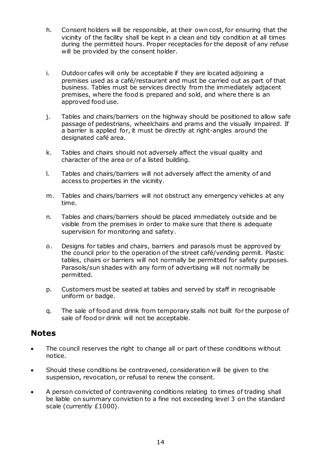- h. Consent holders will be responsible, at their own cost, for ensuring that the vicinity of the facility shall be kept in a clean and tidy condition at all times during the permitted hours. Proper receptacles for the deposit of any refuse will be provided by the consent holder.
- i. Outdoor cafes will only be acceptable if they are located adjoining a premises used as a café/restaurant and must be carried out as part of that business. Tables must be services directly from the immediately adjacent premises, where the food is prepared and sold, and where there is an approved food use.
- j. Tables and chairs/barriers on the highway should be positioned to allow safe passage of pedestrians, wheelchairs and prams and the visually impaired. If a barrier is applied for, it must be directly at right-angles around the designated café area.
- k. Tables and chairs should not adversely affect the visual quality and character of the area or of a listed building.
- l. Tables and chairs/barriers will not adversely affect the amenity of and access to properties in the vicinity.
- m. Tables and chairs/barriers will not obstruct any emergency vehicles at any time.
- n. Tables and chairs/barriers should be placed immediately outside and be visible from the premises in order to make sure that there is adequate supervision for monitoring and safety.
- o. Designs for tables and chairs, barriers and parasols must be approved by the council prior to the operation of the street café/vending permit. Plastic tables, chairs or barriers will not normally be permitted for safety purposes. Parasols/sun shades with any form of advertising will not normally be permitted.
- p. Customers must be seated at tables and served by staff in recognisable uniform or badge.
- q. The sale of food and drink from temporary stalls not built for the purpose of sale of food or drink will not be acceptable.

#### <span id="page-13-0"></span>**Notes**

- The council reserves the right to change all or part of these conditions without notice.
- Should these conditions be contravened, consideration will be given to the suspension, revocation, or refusal to renew the consent.
- A person convicted of contravening conditions relating to times of trading shall be liable on summary conviction to a fine not exceeding level 3 on the standard scale (currently £1000).